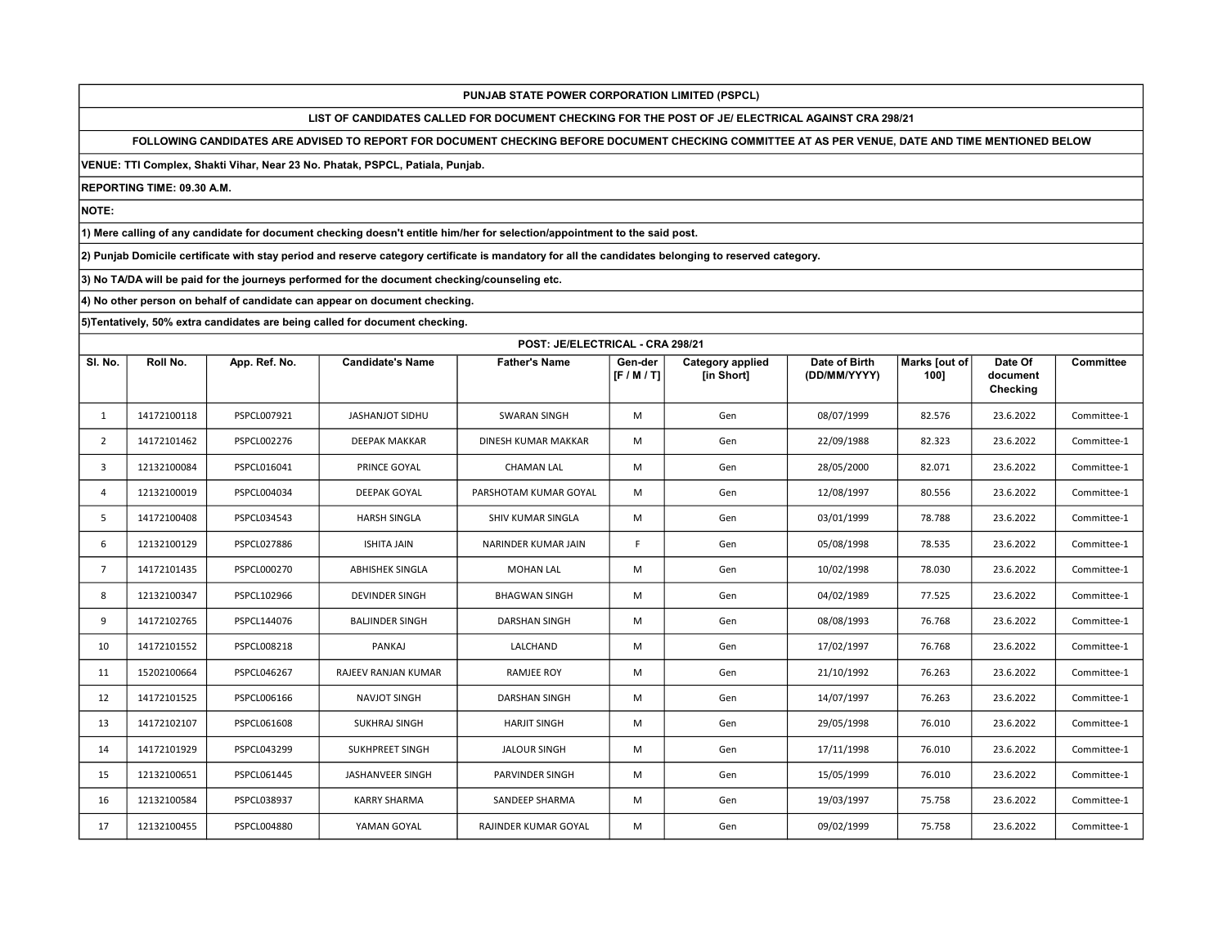LIST OF CANDIDATES CALLED FOR DOCUMENT CHECKING FOR THE POST OF JE/ ELECTRICAL AGAINST CRA 298/21

FOLLOWING CANDIDATES ARE ADVISED TO REPORT FOR DOCUMENT CHECKING BEFORE DOCUMENT CHECKING COMMITTEE AT AS PER VENUE, DATE AND TIME MENTIONED BELOW

VENUE: TTI Complex, Shakti Vihar, Near 23 No. Phatak, PSPCL, Patiala, Punjab.

REPORTING TIME: 09.30 A.M.

NOTE:

1) Mere calling of any candidate for document checking doesn't entitle him/her for selection/appointment to the said post.

2) Punjab Domicile certificate with stay period and reserve category certificate is mandatory for all the candidates belonging to reserved category.

3) No TA/DA will be paid for the journeys performed for the document checking/counseling etc.

4) No other person on behalf of candidate can appear on document checking.

|                | POST: JE/ELECTRICAL - CRA 298/21 |                    |                         |                            |                    |                                       |                               |                       |                                 |                  |  |
|----------------|----------------------------------|--------------------|-------------------------|----------------------------|--------------------|---------------------------------------|-------------------------------|-----------------------|---------------------------------|------------------|--|
| SI. No.        | Roll No.                         | App. Ref. No.      | <b>Candidate's Name</b> | <b>Father's Name</b>       | Gen-der<br>[F/M/T] | <b>Category applied</b><br>[in Short] | Date of Birth<br>(DD/MM/YYYY) | Marks [out of<br>100] | Date Of<br>document<br>Checking | <b>Committee</b> |  |
| 1              | 14172100118                      | PSPCL007921        | JASHANJOT SIDHU         | <b>SWARAN SINGH</b>        | M                  | Gen                                   | 08/07/1999                    | 82.576                | 23.6.2022                       | Committee-1      |  |
| 2              | 14172101462                      | PSPCL002276        | <b>DEEPAK MAKKAR</b>    | <b>DINESH KUMAR MAKKAR</b> | M                  | Gen                                   | 22/09/1988                    | 82.323                | 23.6.2022                       | Committee-1      |  |
| 3              | 12132100084                      | PSPCL016041        | PRINCE GOYAL            | <b>CHAMAN LAL</b>          | M                  | Gen                                   | 28/05/2000                    | 82.071                | 23.6.2022                       | Committee-1      |  |
| $\overline{4}$ | 12132100019                      | PSPCL004034        | <b>DEEPAK GOYAL</b>     | PARSHOTAM KUMAR GOYAL      | M                  | Gen                                   | 12/08/1997                    | 80.556                | 23.6.2022                       | Committee-1      |  |
| -5             | 14172100408                      | PSPCL034543        | <b>HARSH SINGLA</b>     | SHIV KUMAR SINGLA          | M                  | Gen                                   | 03/01/1999                    | 78.788                | 23.6.2022                       | Committee-1      |  |
| 6              | 12132100129                      | <b>PSPCL027886</b> | <b>ISHITA JAIN</b>      | NARINDER KUMAR JAIN        | F                  | Gen                                   | 05/08/1998                    | 78.535                | 23.6.2022                       | Committee-1      |  |
| $\overline{7}$ | 14172101435                      | PSPCL000270        | ABHISHEK SINGLA         | <b>MOHAN LAL</b>           | M                  | Gen                                   | 10/02/1998                    | 78.030                | 23.6.2022                       | Committee-1      |  |
| 8              | 12132100347                      | PSPCL102966        | <b>DEVINDER SINGH</b>   | <b>BHAGWAN SINGH</b>       | M                  | Gen                                   | 04/02/1989                    | 77.525                | 23.6.2022                       | Committee-1      |  |
| 9              | 14172102765                      | PSPCL144076        | <b>BALJINDER SINGH</b>  | DARSHAN SINGH              | M                  | Gen                                   | 08/08/1993                    | 76.768                | 23.6.2022                       | Committee-1      |  |
| 10             | 14172101552                      | PSPCL008218        | PANKAJ                  | LALCHAND                   | M                  | Gen                                   | 17/02/1997                    | 76.768                | 23.6.2022                       | Committee-1      |  |
| 11             | 15202100664                      | PSPCL046267        | RAJEEV RANJAN KUMAR     | RAMJEE ROY                 | M                  | Gen                                   | 21/10/1992                    | 76.263                | 23.6.2022                       | Committee-1      |  |
| 12             | 14172101525                      | PSPCL006166        | NAVJOT SINGH            | <b>DARSHAN SINGH</b>       | M                  | Gen                                   | 14/07/1997                    | 76.263                | 23.6.2022                       | Committee-1      |  |
| 13             | 14172102107                      | PSPCL061608        | <b>SUKHRAJ SINGH</b>    | <b>HARJIT SINGH</b>        | M                  | Gen                                   | 29/05/1998                    | 76.010                | 23.6.2022                       | Committee-1      |  |
| 14             | 14172101929                      | PSPCL043299        | <b>SUKHPREET SINGH</b>  | <b>JALOUR SINGH</b>        | M                  | Gen                                   | 17/11/1998                    | 76.010                | 23.6.2022                       | Committee-1      |  |
| 15             | 12132100651                      | PSPCL061445        | JASHANVEER SINGH        | PARVINDER SINGH            | M                  | Gen                                   | 15/05/1999                    | 76.010                | 23.6.2022                       | Committee-1      |  |
| 16             | 12132100584                      | PSPCL038937        | <b>KARRY SHARMA</b>     | SANDEEP SHARMA             | M                  | Gen                                   | 19/03/1997                    | 75.758                | 23.6.2022                       | Committee-1      |  |
| 17             | 12132100455                      | PSPCL004880        | YAMAN GOYAL             | RAJINDER KUMAR GOYAL       | M                  | Gen                                   | 09/02/1999                    | 75.758                | 23.6.2022                       | Committee-1      |  |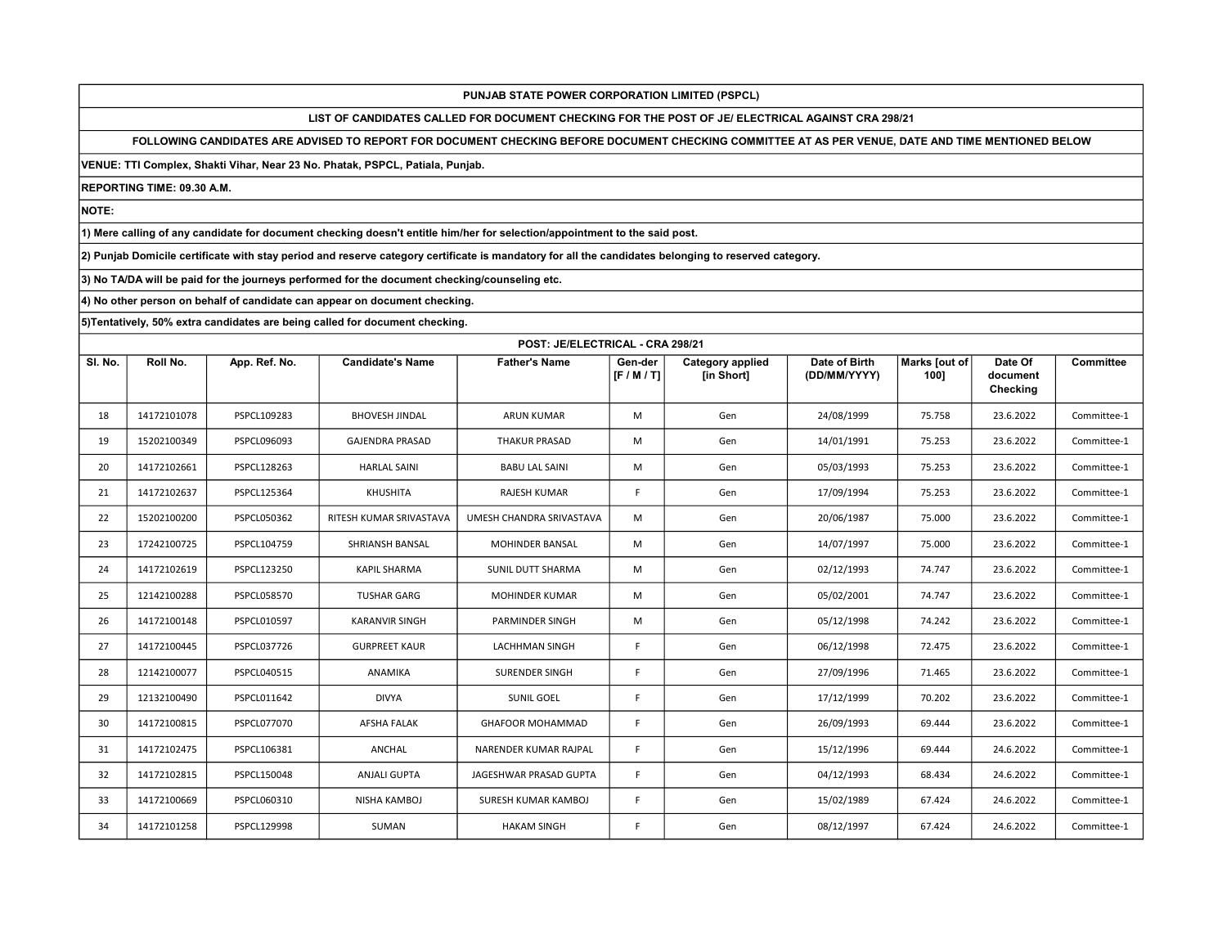LIST OF CANDIDATES CALLED FOR DOCUMENT CHECKING FOR THE POST OF JE/ ELECTRICAL AGAINST CRA 298/21

FOLLOWING CANDIDATES ARE ADVISED TO REPORT FOR DOCUMENT CHECKING BEFORE DOCUMENT CHECKING COMMITTEE AT AS PER VENUE, DATE AND TIME MENTIONED BELOW

VENUE: TTI Complex, Shakti Vihar, Near 23 No. Phatak, PSPCL, Patiala, Punjab.

REPORTING TIME: 09.30 A.M.

NOTE:

1) Mere calling of any candidate for document checking doesn't entitle him/her for selection/appointment to the said post.

2) Punjab Domicile certificate with stay period and reserve category certificate is mandatory for all the candidates belonging to reserved category.

3) No TA/DA will be paid for the journeys performed for the document checking/counseling etc.

4) No other person on behalf of candidate can appear on document checking.

|         | POST: JE/ELECTRICAL - CRA 298/21 |                    |                         |                          |                    |                                       |                               |                       |                                 |                  |  |
|---------|----------------------------------|--------------------|-------------------------|--------------------------|--------------------|---------------------------------------|-------------------------------|-----------------------|---------------------------------|------------------|--|
| SI. No. | Roll No.                         | App. Ref. No.      | <b>Candidate's Name</b> | <b>Father's Name</b>     | Gen-der<br>[F/M/T] | <b>Category applied</b><br>[in Short] | Date of Birth<br>(DD/MM/YYYY) | Marks [out of<br>100] | Date Of<br>document<br>Checking | <b>Committee</b> |  |
| 18      | 14172101078                      | PSPCL109283        | <b>BHOVESH JINDAL</b>   | <b>ARUN KUMAR</b>        | M                  | Gen                                   | 24/08/1999                    | 75.758                | 23.6.2022                       | Committee-1      |  |
| 19      | 15202100349                      | PSPCL096093        | <b>GAJENDRA PRASAD</b>  | <b>THAKUR PRASAD</b>     | M                  | Gen                                   | 14/01/1991                    | 75.253                | 23.6.2022                       | Committee-1      |  |
| 20      | 14172102661                      | PSPCL128263        | <b>HARLAL SAINI</b>     | <b>BABU LAL SAINI</b>    | M                  | Gen                                   | 05/03/1993                    | 75.253                | 23.6.2022                       | Committee-1      |  |
| 21      | 14172102637                      | PSPCL125364        | KHUSHITA                | RAJESH KUMAR             | F                  | Gen                                   | 17/09/1994                    | 75.253                | 23.6.2022                       | Committee-1      |  |
| 22      | 15202100200                      | PSPCL050362        | RITESH KUMAR SRIVASTAVA | UMESH CHANDRA SRIVASTAVA | M                  | Gen                                   | 20/06/1987                    | 75.000                | 23.6.2022                       | Committee-1      |  |
| 23      | 17242100725                      | PSPCL104759        | SHRIANSH BANSAL         | <b>MOHINDER BANSAL</b>   | M                  | Gen                                   | 14/07/1997                    | 75.000                | 23.6.2022                       | Committee-1      |  |
| 24      | 14172102619                      | PSPCL123250        | <b>KAPIL SHARMA</b>     | SUNIL DUTT SHARMA        | M                  | Gen                                   | 02/12/1993                    | 74.747                | 23.6.2022                       | Committee-1      |  |
| 25      | 12142100288                      | <b>PSPCL058570</b> | <b>TUSHAR GARG</b>      | <b>MOHINDER KUMAR</b>    | M                  | Gen                                   | 05/02/2001                    | 74.747                | 23.6.2022                       | Committee-1      |  |
| 26      | 14172100148                      | PSPCL010597        | <b>KARANVIR SINGH</b>   | PARMINDER SINGH          | M                  | Gen                                   | 05/12/1998                    | 74.242                | 23.6.2022                       | Committee-1      |  |
| 27      | 14172100445                      | PSPCL037726        | <b>GURPREET KAUR</b>    | <b>LACHHMAN SINGH</b>    | F                  | Gen                                   | 06/12/1998                    | 72.475                | 23.6.2022                       | Committee-1      |  |
| 28      | 12142100077                      | PSPCL040515        | ANAMIKA                 | <b>SURENDER SINGH</b>    | F.                 | Gen                                   | 27/09/1996                    | 71.465                | 23.6.2022                       | Committee-1      |  |
| 29      | 12132100490                      | PSPCL011642        | <b>DIVYA</b>            | SUNIL GOEL               | F.                 | Gen                                   | 17/12/1999                    | 70.202                | 23.6.2022                       | Committee-1      |  |
| 30      | 14172100815                      | PSPCL077070        | <b>AFSHA FALAK</b>      | <b>GHAFOOR MOHAMMAD</b>  | F.                 | Gen                                   | 26/09/1993                    | 69.444                | 23.6.2022                       | Committee-1      |  |
| 31      | 14172102475                      | PSPCL106381        | ANCHAL                  | NARENDER KUMAR RAJPAL    | F.                 | Gen                                   | 15/12/1996                    | 69.444                | 24.6.2022                       | Committee-1      |  |
| 32      | 14172102815                      | PSPCL150048        | <b>ANJALI GUPTA</b>     | JAGESHWAR PRASAD GUPTA   | F                  | Gen                                   | 04/12/1993                    | 68.434                | 24.6.2022                       | Committee-1      |  |
| 33      | 14172100669                      | PSPCL060310        | NISHA KAMBOJ            | SURESH KUMAR KAMBOJ      | F                  | Gen                                   | 15/02/1989                    | 67.424                | 24.6.2022                       | Committee-1      |  |
| 34      | 14172101258                      | PSPCL129998        | SUMAN                   | <b>HAKAM SINGH</b>       | F.                 | Gen                                   | 08/12/1997                    | 67.424                | 24.6.2022                       | Committee-1      |  |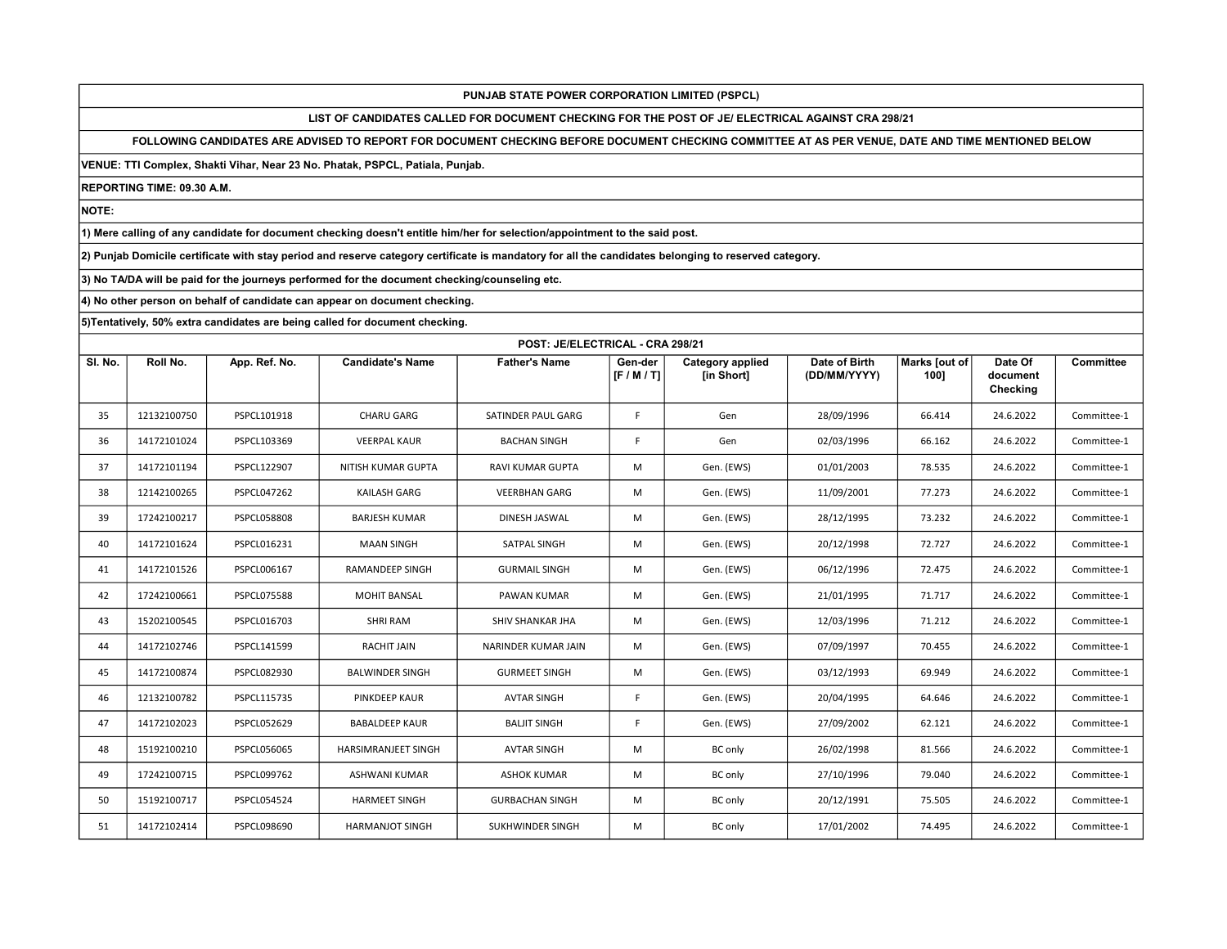LIST OF CANDIDATES CALLED FOR DOCUMENT CHECKING FOR THE POST OF JE/ ELECTRICAL AGAINST CRA 298/21

FOLLOWING CANDIDATES ARE ADVISED TO REPORT FOR DOCUMENT CHECKING BEFORE DOCUMENT CHECKING COMMITTEE AT AS PER VENUE, DATE AND TIME MENTIONED BELOW

VENUE: TTI Complex, Shakti Vihar, Near 23 No. Phatak, PSPCL, Patiala, Punjab.

REPORTING TIME: 09.30 A.M.

NOTE:

1) Mere calling of any candidate for document checking doesn't entitle him/her for selection/appointment to the said post.

2) Punjab Domicile certificate with stay period and reserve category certificate is mandatory for all the candidates belonging to reserved category.

3) No TA/DA will be paid for the journeys performed for the document checking/counseling etc.

4) No other person on behalf of candidate can appear on document checking.

|         | POST: JE/ELECTRICAL - CRA 298/21 |                    |                            |                         |                    |                                       |                               |                       |                                 |                  |  |
|---------|----------------------------------|--------------------|----------------------------|-------------------------|--------------------|---------------------------------------|-------------------------------|-----------------------|---------------------------------|------------------|--|
| SI. No. | Roll No.                         | App. Ref. No.      | <b>Candidate's Name</b>    | <b>Father's Name</b>    | Gen-der<br>[F/M/T] | <b>Category applied</b><br>[in Short] | Date of Birth<br>(DD/MM/YYYY) | Marks [out of<br>1001 | Date Of<br>document<br>Checking | <b>Committee</b> |  |
| 35      | 12132100750                      | PSPCL101918        | <b>CHARU GARG</b>          | SATINDER PAUL GARG      | F                  | Gen                                   | 28/09/1996                    | 66.414                | 24.6.2022                       | Committee-1      |  |
| 36      | 14172101024                      | PSPCL103369        | <b>VEERPAL KAUR</b>        | <b>BACHAN SINGH</b>     | F                  | Gen                                   | 02/03/1996                    | 66.162                | 24.6.2022                       | Committee-1      |  |
| 37      | 14172101194                      | PSPCL122907        | NITISH KUMAR GUPTA         | <b>RAVI KUMAR GUPTA</b> | M                  | Gen. (EWS)                            | 01/01/2003                    | 78.535                | 24.6.2022                       | Committee-1      |  |
| 38      | 12142100265                      | <b>PSPCL047262</b> | <b>KAILASH GARG</b>        | <b>VEERBHAN GARG</b>    | M                  | Gen. (EWS)                            | 11/09/2001                    | 77.273                | 24.6.2022                       | Committee-1      |  |
| 39      | 17242100217                      | <b>PSPCL058808</b> | <b>BARJESH KUMAR</b>       | DINESH JASWAL           | M                  | Gen. (EWS)                            | 28/12/1995                    | 73.232                | 24.6.2022                       | Committee-1      |  |
| 40      | 14172101624                      | PSPCL016231        | <b>MAAN SINGH</b>          | SATPAL SINGH            | M                  | Gen. (EWS)                            | 20/12/1998                    | 72.727                | 24.6.2022                       | Committee-1      |  |
| 41      | 14172101526                      | PSPCL006167        | <b>RAMANDEEP SINGH</b>     | <b>GURMAIL SINGH</b>    | M                  | Gen. (EWS)                            | 06/12/1996                    | 72.475                | 24.6.2022                       | Committee-1      |  |
| 42      | 17242100661                      | <b>PSPCL075588</b> | <b>MOHIT BANSAL</b>        | PAWAN KUMAR             | M                  | Gen. (EWS)                            | 21/01/1995                    | 71.717                | 24.6.2022                       | Committee-1      |  |
| 43      | 15202100545                      | PSPCL016703        | <b>SHRI RAM</b>            | SHIV SHANKAR JHA        | M                  | Gen. (EWS)                            | 12/03/1996                    | 71.212                | 24.6.2022                       | Committee-1      |  |
| 44      | 14172102746                      | PSPCL141599        | <b>RACHIT JAIN</b>         | NARINDER KUMAR JAIN     | M                  | Gen. (EWS)                            | 07/09/1997                    | 70.455                | 24.6.2022                       | Committee-1      |  |
| 45      | 14172100874                      | PSPCL082930        | <b>BALWINDER SINGH</b>     | <b>GURMEET SINGH</b>    | M                  | Gen. (EWS)                            | 03/12/1993                    | 69.949                | 24.6.2022                       | Committee-1      |  |
| 46      | 12132100782                      | PSPCL115735        | PINKDEEP KAUR              | <b>AVTAR SINGH</b>      | F.                 | Gen. (EWS)                            | 20/04/1995                    | 64.646                | 24.6.2022                       | Committee-1      |  |
| 47      | 14172102023                      | PSPCL052629        | <b>BABALDEEP KAUR</b>      | <b>BALJIT SINGH</b>     | F                  | Gen. (EWS)                            | 27/09/2002                    | 62.121                | 24.6.2022                       | Committee-1      |  |
| 48      | 15192100210                      | <b>PSPCL056065</b> | <b>HARSIMRANJEET SINGH</b> | <b>AVTAR SINGH</b>      | M                  | <b>BC</b> only                        | 26/02/1998                    | 81.566                | 24.6.2022                       | Committee-1      |  |
| 49      | 17242100715                      | PSPCL099762        | <b>ASHWANI KUMAR</b>       | <b>ASHOK KUMAR</b>      | M                  | <b>BC</b> only                        | 27/10/1996                    | 79.040                | 24.6.2022                       | Committee-1      |  |
| 50      | 15192100717                      | PSPCL054524        | <b>HARMEET SINGH</b>       | <b>GURBACHAN SINGH</b>  | M                  | <b>BC</b> only                        | 20/12/1991                    | 75.505                | 24.6.2022                       | Committee-1      |  |
| 51      | 14172102414                      | PSPCL098690        | <b>HARMANJOT SINGH</b>     | SUKHWINDER SINGH        | M                  | <b>BC</b> only                        | 17/01/2002                    | 74.495                | 24.6.2022                       | Committee-1      |  |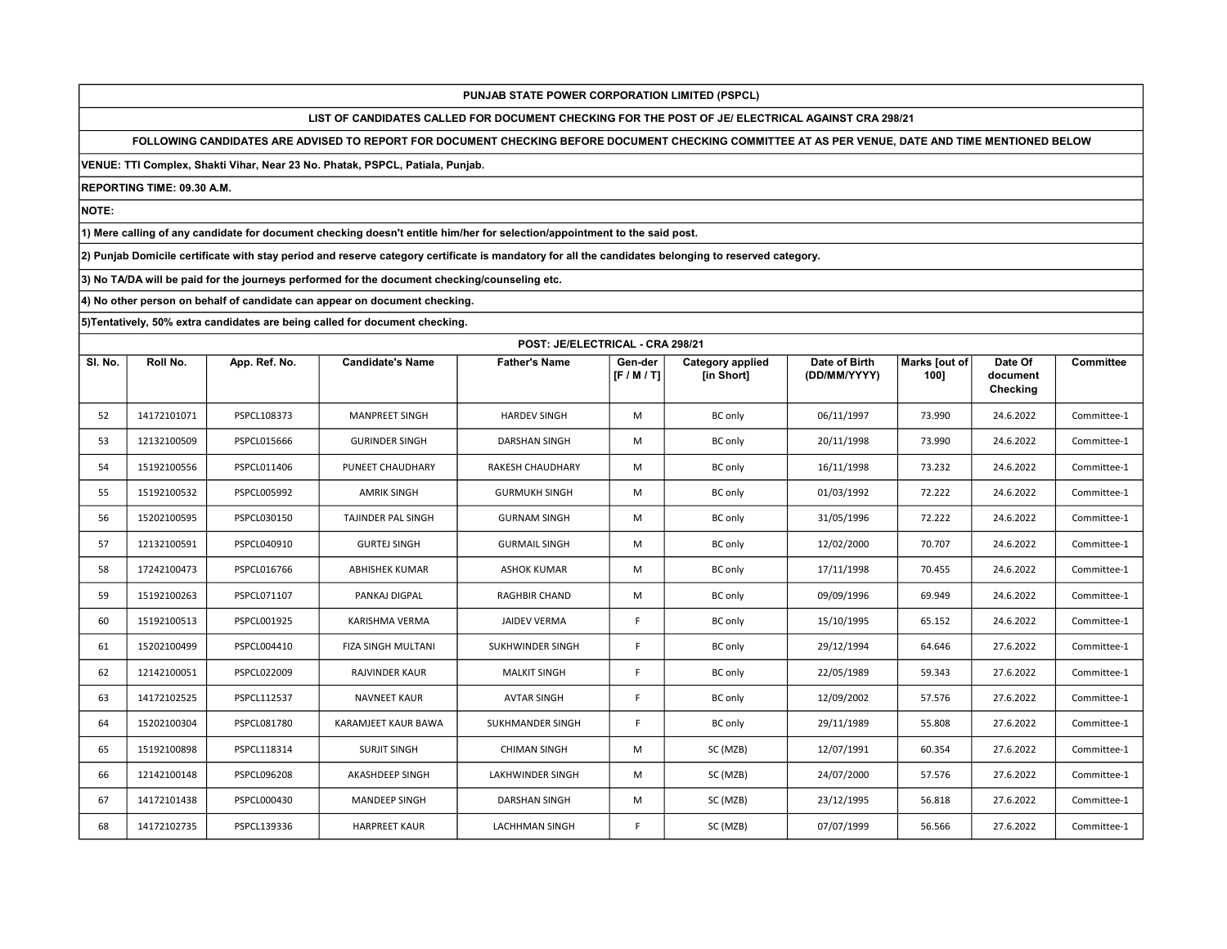LIST OF CANDIDATES CALLED FOR DOCUMENT CHECKING FOR THE POST OF JE/ ELECTRICAL AGAINST CRA 298/21

FOLLOWING CANDIDATES ARE ADVISED TO REPORT FOR DOCUMENT CHECKING BEFORE DOCUMENT CHECKING COMMITTEE AT AS PER VENUE, DATE AND TIME MENTIONED BELOW

VENUE: TTI Complex, Shakti Vihar, Near 23 No. Phatak, PSPCL, Patiala, Punjab.

REPORTING TIME: 09.30 A.M.

NOTE:

1) Mere calling of any candidate for document checking doesn't entitle him/her for selection/appointment to the said post.

2) Punjab Domicile certificate with stay period and reserve category certificate is mandatory for all the candidates belonging to reserved category.

3) No TA/DA will be paid for the journeys performed for the document checking/counseling etc.

4) No other person on behalf of candidate can appear on document checking.

|         | POST: JE/ELECTRICAL - CRA 298/21 |                    |                           |                         |                    |                                       |                               |                       |                                 |                  |  |
|---------|----------------------------------|--------------------|---------------------------|-------------------------|--------------------|---------------------------------------|-------------------------------|-----------------------|---------------------------------|------------------|--|
| SI. No. | Roll No.                         | App. Ref. No.      | <b>Candidate's Name</b>   | <b>Father's Name</b>    | Gen-der<br>[F/M/T] | <b>Category applied</b><br>[in Short] | Date of Birth<br>(DD/MM/YYYY) | Marks [out of<br>100] | Date Of<br>document<br>Checking | <b>Committee</b> |  |
| 52      | 14172101071                      | PSPCL108373        | <b>MANPREET SINGH</b>     | <b>HARDEV SINGH</b>     | M                  | <b>BC</b> only                        | 06/11/1997                    | 73.990                | 24.6.2022                       | Committee-1      |  |
| 53      | 12132100509                      | PSPCL015666        | <b>GURINDER SINGH</b>     | <b>DARSHAN SINGH</b>    | M                  | <b>BC</b> only                        | 20/11/1998                    | 73.990                | 24.6.2022                       | Committee-1      |  |
| 54      | 15192100556                      | PSPCL011406        | PUNEET CHAUDHARY          | RAKESH CHAUDHARY        | M                  | <b>BC</b> only                        | 16/11/1998                    | 73.232                | 24.6.2022                       | Committee-1      |  |
| 55      | 15192100532                      | PSPCL005992        | <b>AMRIK SINGH</b>        | <b>GURMUKH SINGH</b>    | M                  | <b>BC</b> only                        | 01/03/1992                    | 72.222                | 24.6.2022                       | Committee-1      |  |
| 56      | 15202100595                      | PSPCL030150        | TAJINDER PAL SINGH        | <b>GURNAM SINGH</b>     | M                  | <b>BC</b> only                        | 31/05/1996                    | 72.222                | 24.6.2022                       | Committee-1      |  |
| 57      | 12132100591                      | PSPCL040910        | <b>GURTEJ SINGH</b>       | <b>GURMAIL SINGH</b>    | M                  | <b>BC</b> only                        | 12/02/2000                    | 70.707                | 24.6.2022                       | Committee-1      |  |
| 58      | 17242100473                      | PSPCL016766        | <b>ABHISHEK KUMAR</b>     | <b>ASHOK KUMAR</b>      | M                  | <b>BC</b> only                        | 17/11/1998                    | 70.455                | 24.6.2022                       | Committee-1      |  |
| 59      | 15192100263                      | PSPCL071107        | PANKAJ DIGPAL             | <b>RAGHBIR CHAND</b>    | M                  | <b>BC</b> only                        | 09/09/1996                    | 69.949                | 24.6.2022                       | Committee-1      |  |
| 60      | 15192100513                      | PSPCL001925        | KARISHMA VERMA            | <b>JAIDEV VERMA</b>     | F                  | <b>BC</b> only                        | 15/10/1995                    | 65.152                | 24.6.2022                       | Committee-1      |  |
| 61      | 15202100499                      | PSPCL004410        | <b>FIZA SINGH MULTANI</b> | SUKHWINDER SINGH        | F                  | <b>BC</b> only                        | 29/12/1994                    | 64.646                | 27.6.2022                       | Committee-1      |  |
| 62      | 12142100051                      | PSPCL022009        | <b>RAJVINDER KAUR</b>     | <b>MALKIT SINGH</b>     | F                  | <b>BC</b> only                        | 22/05/1989                    | 59.343                | 27.6.2022                       | Committee-1      |  |
| 63      | 14172102525                      | PSPCL112537        | <b>NAVNEET KAUR</b>       | <b>AVTAR SINGH</b>      | F.                 | <b>BC</b> only                        | 12/09/2002                    | 57.576                | 27.6.2022                       | Committee-1      |  |
| 64      | 15202100304                      | <b>PSPCL081780</b> | KARAMJEET KAUR BAWA       | SUKHMANDER SINGH        | F                  | <b>BC</b> only                        | 29/11/1989                    | 55.808                | 27.6.2022                       | Committee-1      |  |
| 65      | 15192100898                      | PSPCL118314        | <b>SURJIT SINGH</b>       | <b>CHIMAN SINGH</b>     | M                  | SC (MZB)                              | 12/07/1991                    | 60.354                | 27.6.2022                       | Committee-1      |  |
| 66      | 12142100148                      | PSPCL096208        | AKASHDEEP SINGH           | <b>LAKHWINDER SINGH</b> | M                  | SC (MZB)                              | 24/07/2000                    | 57.576                | 27.6.2022                       | Committee-1      |  |
| 67      | 14172101438                      | PSPCL000430        | <b>MANDEEP SINGH</b>      | <b>DARSHAN SINGH</b>    | M                  | SC (MZB)                              | 23/12/1995                    | 56.818                | 27.6.2022                       | Committee-1      |  |
| 68      | 14172102735                      | PSPCL139336        | <b>HARPREET KAUR</b>      | <b>LACHHMAN SINGH</b>   | F                  | SC (MZB)                              | 07/07/1999                    | 56.566                | 27.6.2022                       | Committee-1      |  |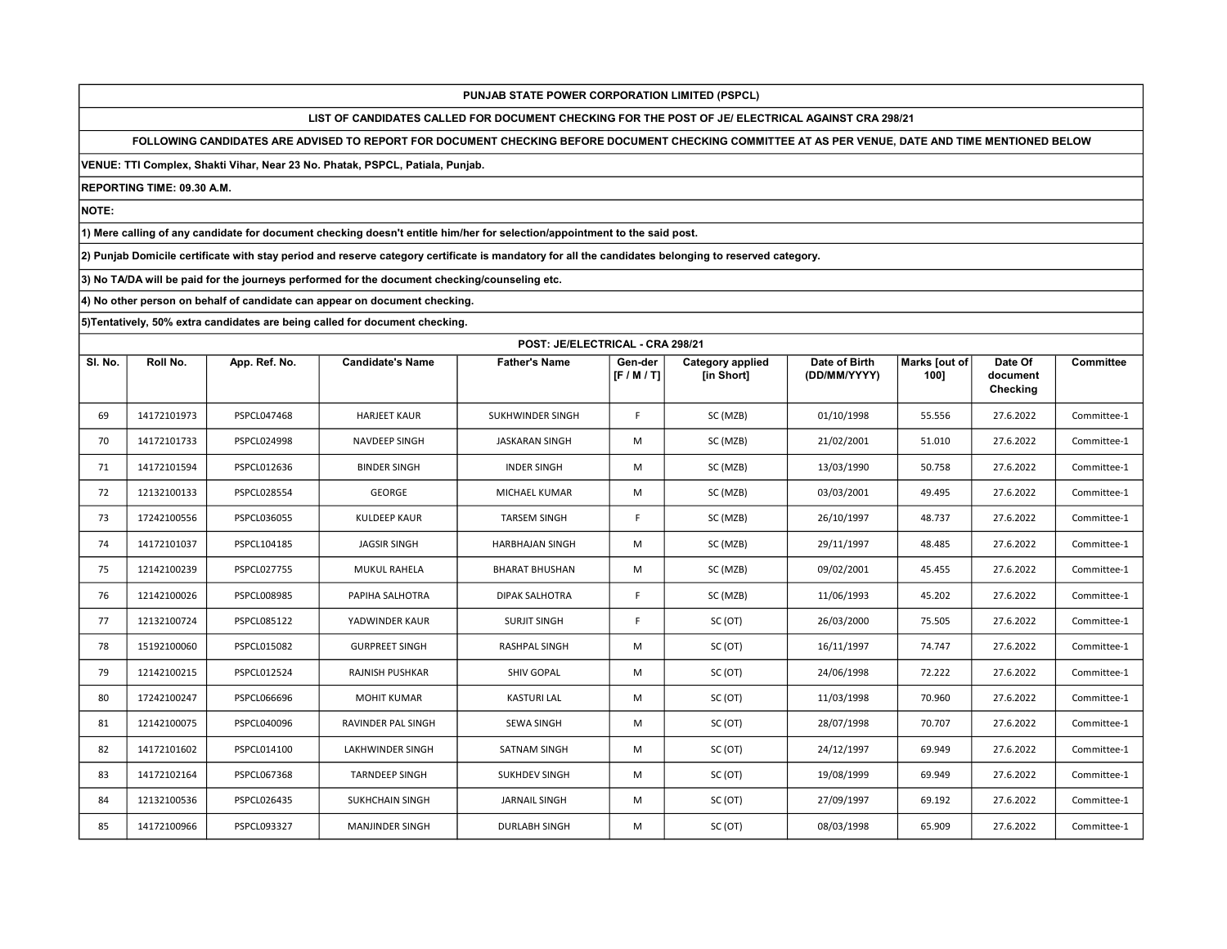LIST OF CANDIDATES CALLED FOR DOCUMENT CHECKING FOR THE POST OF JE/ ELECTRICAL AGAINST CRA 298/21

FOLLOWING CANDIDATES ARE ADVISED TO REPORT FOR DOCUMENT CHECKING BEFORE DOCUMENT CHECKING COMMITTEE AT AS PER VENUE, DATE AND TIME MENTIONED BELOW

VENUE: TTI Complex, Shakti Vihar, Near 23 No. Phatak, PSPCL, Patiala, Punjab.

REPORTING TIME: 09.30 A.M.

NOTE:

1) Mere calling of any candidate for document checking doesn't entitle him/her for selection/appointment to the said post.

2) Punjab Domicile certificate with stay period and reserve category certificate is mandatory for all the candidates belonging to reserved category.

3) No TA/DA will be paid for the journeys performed for the document checking/counseling etc.

4) No other person on behalf of candidate can appear on document checking.

|         | POST: JE/ELECTRICAL - CRA 298/21 |                    |                         |                        |                    |                                       |                               |                       |                                 |                  |  |
|---------|----------------------------------|--------------------|-------------------------|------------------------|--------------------|---------------------------------------|-------------------------------|-----------------------|---------------------------------|------------------|--|
| SI. No. | Roll No.                         | App. Ref. No.      | <b>Candidate's Name</b> | <b>Father's Name</b>   | Gen-der<br>[F/M/T] | <b>Category applied</b><br>[in Short] | Date of Birth<br>(DD/MM/YYYY) | Marks [out of<br>100] | Date Of<br>document<br>Checking | <b>Committee</b> |  |
| 69      | 14172101973                      | <b>PSPCL047468</b> | <b>HARJEET KAUR</b>     | SUKHWINDER SINGH       | F                  | SC (MZB)                              | 01/10/1998                    | 55.556                | 27.6.2022                       | Committee-1      |  |
| 70      | 14172101733                      | <b>PSPCL024998</b> | NAVDEEP SINGH           | <b>JASKARAN SINGH</b>  | M                  | SC (MZB)                              | 21/02/2001                    | 51.010                | 27.6.2022                       | Committee-1      |  |
| 71      | 14172101594                      | PSPCL012636        | <b>BINDER SINGH</b>     | <b>INDER SINGH</b>     | M                  | SC (MZB)                              | 13/03/1990                    | 50.758                | 27.6.2022                       | Committee-1      |  |
| 72      | 12132100133                      | PSPCL028554        | <b>GEORGE</b>           | MICHAEL KUMAR          | M                  | SC (MZB)                              | 03/03/2001                    | 49.495                | 27.6.2022                       | Committee-1      |  |
| 73      | 17242100556                      | PSPCL036055        | <b>KULDEEP KAUR</b>     | <b>TARSEM SINGH</b>    | F                  | SC (MZB)                              | 26/10/1997                    | 48.737                | 27.6.2022                       | Committee-1      |  |
| 74      | 14172101037                      | PSPCL104185        | <b>JAGSIR SINGH</b>     | <b>HARBHAJAN SINGH</b> | M                  | SC (MZB)                              | 29/11/1997                    | 48.485                | 27.6.2022                       | Committee-1      |  |
| 75      | 12142100239                      | PSPCL027755        | MUKUL RAHELA            | <b>BHARAT BHUSHAN</b>  | M                  | SC (MZB)                              | 09/02/2001                    | 45.455                | 27.6.2022                       | Committee-1      |  |
| 76      | 12142100026                      | PSPCL008985        | PAPIHA SALHOTRA         | <b>DIPAK SALHOTRA</b>  | F.                 | SC (MZB)                              | 11/06/1993                    | 45.202                | 27.6.2022                       | Committee-1      |  |
| 77      | 12132100724                      | <b>PSPCL085122</b> | YADWINDER KAUR          | <b>SURJIT SINGH</b>    | F                  | SC (OT)                               | 26/03/2000                    | 75.505                | 27.6.2022                       | Committee-1      |  |
| 78      | 15192100060                      | PSPCL015082        | <b>GURPREET SINGH</b>   | <b>RASHPAL SINGH</b>   | M                  | SC (OT)                               | 16/11/1997                    | 74.747                | 27.6.2022                       | Committee-1      |  |
| 79      | 12142100215                      | PSPCL012524        | RAJNISH PUSHKAR         | SHIV GOPAL             | M                  | SC (OT)                               | 24/06/1998                    | 72.222                | 27.6.2022                       | Committee-1      |  |
| 80      | 17242100247                      | PSPCL066696        | <b>MOHIT KUMAR</b>      | <b>KASTURI LAL</b>     | M                  | SC (OT)                               | 11/03/1998                    | 70.960                | 27.6.2022                       | Committee-1      |  |
| 81      | 12142100075                      | PSPCL040096        | RAVINDER PAL SINGH      | <b>SEWA SINGH</b>      | M                  | SC (OT)                               | 28/07/1998                    | 70.707                | 27.6.2022                       | Committee-1      |  |
| 82      | 14172101602                      | PSPCL014100        | <b>LAKHWINDER SINGH</b> | <b>SATNAM SINGH</b>    | M                  | SC (OT)                               | 24/12/1997                    | 69.949                | 27.6.2022                       | Committee-1      |  |
| 83      | 14172102164                      | PSPCL067368        | <b>TARNDEEP SINGH</b>   | SUKHDEV SINGH          | M                  | SC (OT)                               | 19/08/1999                    | 69.949                | 27.6.2022                       | Committee-1      |  |
| 84      | 12132100536                      | PSPCL026435        | <b>SUKHCHAIN SINGH</b>  | <b>JARNAIL SINGH</b>   | M                  | SC (OT)                               | 27/09/1997                    | 69.192                | 27.6.2022                       | Committee-1      |  |
| 85      | 14172100966                      | PSPCL093327        | <b>MANJINDER SINGH</b>  | <b>DURLABH SINGH</b>   | M                  | SC (OT)                               | 08/03/1998                    | 65.909                | 27.6.2022                       | Committee-1      |  |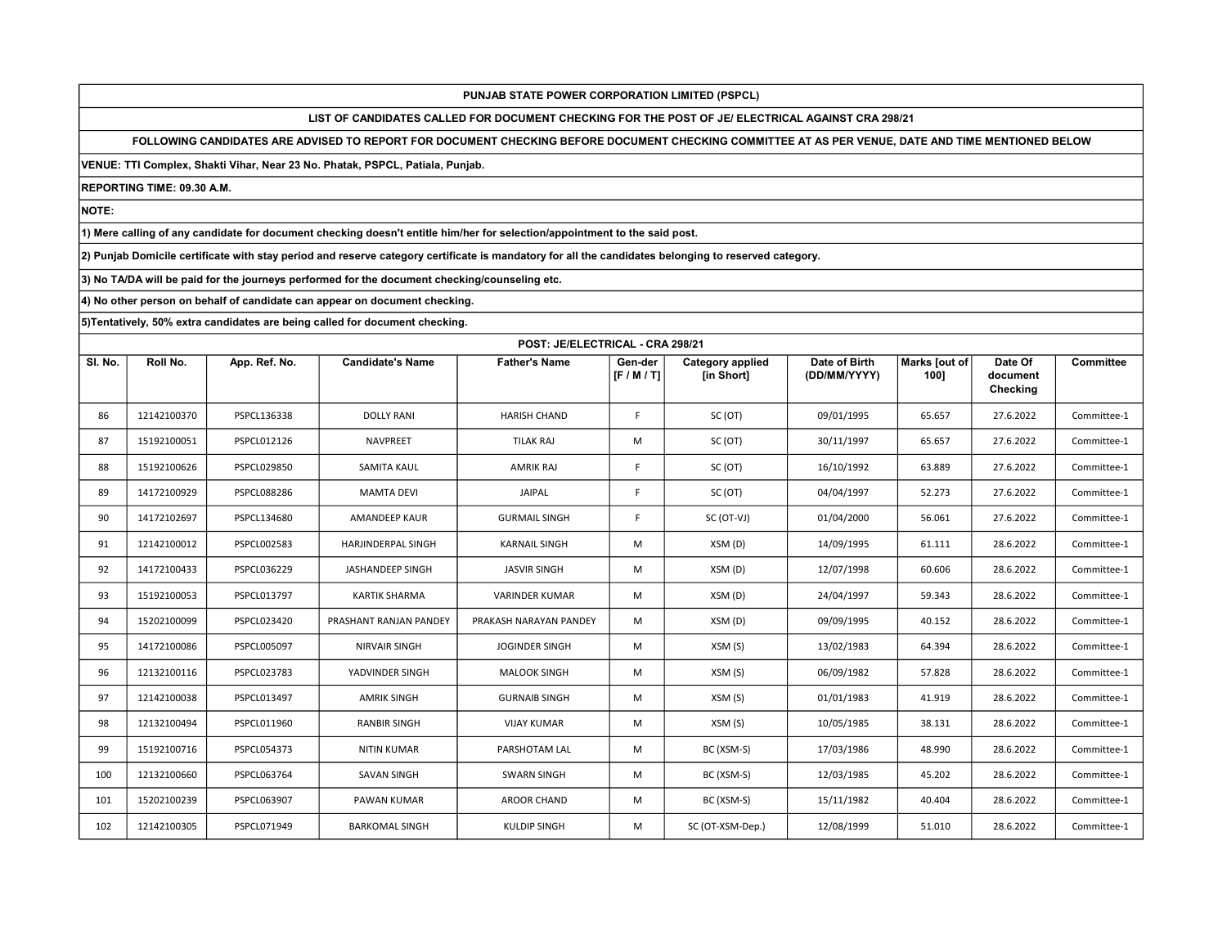LIST OF CANDIDATES CALLED FOR DOCUMENT CHECKING FOR THE POST OF JE/ ELECTRICAL AGAINST CRA 298/21

FOLLOWING CANDIDATES ARE ADVISED TO REPORT FOR DOCUMENT CHECKING BEFORE DOCUMENT CHECKING COMMITTEE AT AS PER VENUE, DATE AND TIME MENTIONED BELOW

VENUE: TTI Complex, Shakti Vihar, Near 23 No. Phatak, PSPCL, Patiala, Punjab.

REPORTING TIME: 09.30 A.M.

NOTE:

1) Mere calling of any candidate for document checking doesn't entitle him/her for selection/appointment to the said post.

2) Punjab Domicile certificate with stay period and reserve category certificate is mandatory for all the candidates belonging to reserved category.

3) No TA/DA will be paid for the journeys performed for the document checking/counseling etc.

4) No other person on behalf of candidate can appear on document checking.

|         | POST: JE/ELECTRICAL - CRA 298/21 |               |                         |                        |                    |                                       |                               |                       |                                 |                  |  |
|---------|----------------------------------|---------------|-------------------------|------------------------|--------------------|---------------------------------------|-------------------------------|-----------------------|---------------------------------|------------------|--|
| SI. No. | Roll No.                         | App. Ref. No. | <b>Candidate's Name</b> | <b>Father's Name</b>   | Gen-der<br>[F/M/T] | <b>Category applied</b><br>[in Short] | Date of Birth<br>(DD/MM/YYYY) | Marks [out of<br>100] | Date Of<br>document<br>Checking | <b>Committee</b> |  |
| 86      | 12142100370                      | PSPCL136338   | <b>DOLLY RANI</b>       | <b>HARISH CHAND</b>    | F                  | SC (OT)                               | 09/01/1995                    | 65.657                | 27.6.2022                       | Committee-1      |  |
| 87      | 15192100051                      | PSPCL012126   | <b>NAVPREET</b>         | <b>TILAK RAJ</b>       | M                  | SC (OT)                               | 30/11/1997                    | 65.657                | 27.6.2022                       | Committee-1      |  |
| 88      | 15192100626                      | PSPCL029850   | SAMITA KAUL             | <b>AMRIK RAJ</b>       | F                  | SC (OT)                               | 16/10/1992                    | 63.889                | 27.6.2022                       | Committee-1      |  |
| 89      | 14172100929                      | PSPCL088286   | <b>MAMTA DEVI</b>       | JAIPAL                 | F                  | SC (OT)                               | 04/04/1997                    | 52.273                | 27.6.2022                       | Committee-1      |  |
| 90      | 14172102697                      | PSPCL134680   | AMANDEEP KAUR           | <b>GURMAIL SINGH</b>   | F                  | SC (OT-VJ)                            | 01/04/2000                    | 56.061                | 27.6.2022                       | Committee-1      |  |
| 91      | 12142100012                      | PSPCL002583   | HARJINDERPAL SINGH      | <b>KARNAIL SINGH</b>   | M                  | XSM (D)                               | 14/09/1995                    | 61.111                | 28.6.2022                       | Committee-1      |  |
| 92      | 14172100433                      | PSPCL036229   | JASHANDEEP SINGH        | <b>JASVIR SINGH</b>    | M                  | XSM(D)                                | 12/07/1998                    | 60.606                | 28.6.2022                       | Committee-1      |  |
| 93      | 15192100053                      | PSPCL013797   | <b>KARTIK SHARMA</b>    | <b>VARINDER KUMAR</b>  | M                  | XSM (D)                               | 24/04/1997                    | 59.343                | 28.6.2022                       | Committee-1      |  |
| 94      | 15202100099                      | PSPCL023420   | PRASHANT RANJAN PANDEY  | PRAKASH NARAYAN PANDEY | M                  | XSM(D)                                | 09/09/1995                    | 40.152                | 28.6.2022                       | Committee-1      |  |
| 95      | 14172100086                      | PSPCL005097   | <b>NIRVAIR SINGH</b>    | <b>JOGINDER SINGH</b>  | M                  | XSM (S)                               | 13/02/1983                    | 64.394                | 28.6.2022                       | Committee-1      |  |
| 96      | 12132100116                      | PSPCL023783   | YADVINDER SINGH         | <b>MALOOK SINGH</b>    | M                  | XSM (S)                               | 06/09/1982                    | 57.828                | 28.6.2022                       | Committee-1      |  |
| 97      | 12142100038                      | PSPCL013497   | <b>AMRIK SINGH</b>      | <b>GURNAIB SINGH</b>   | M                  | XSM (S)                               | 01/01/1983                    | 41.919                | 28.6.2022                       | Committee-1      |  |
| 98      | 12132100494                      | PSPCL011960   | <b>RANBIR SINGH</b>     | <b>VIJAY KUMAR</b>     | M                  | XSM (S)                               | 10/05/1985                    | 38.131                | 28.6.2022                       | Committee-1      |  |
| 99      | 15192100716                      | PSPCL054373   | <b>NITIN KUMAR</b>      | PARSHOTAM LAL          | M                  | BC (XSM-S)                            | 17/03/1986                    | 48.990                | 28.6.2022                       | Committee-1      |  |
| 100     | 12132100660                      | PSPCL063764   | <b>SAVAN SINGH</b>      | <b>SWARN SINGH</b>     | M                  | BC (XSM-S)                            | 12/03/1985                    | 45.202                | 28.6.2022                       | Committee-1      |  |
| 101     | 15202100239                      | PSPCL063907   | PAWAN KUMAR             | <b>AROOR CHAND</b>     | M                  | BC (XSM-S)                            | 15/11/1982                    | 40.404                | 28.6.2022                       | Committee-1      |  |
| 102     | 12142100305                      | PSPCL071949   | <b>BARKOMAL SINGH</b>   | <b>KULDIP SINGH</b>    | M                  | SC (OT-XSM-Dep.)                      | 12/08/1999                    | 51.010                | 28.6.2022                       | Committee-1      |  |